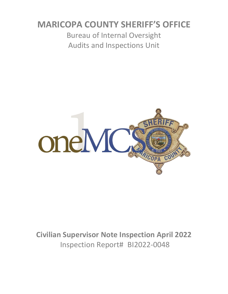# **MARICOPA COUNTY SHERIFF'S OFFICE**

Bureau of Internal Oversight Audits and Inspections Unit



**Civilian Supervisor Note Inspection April 2022** Inspection Report# BI2022-0048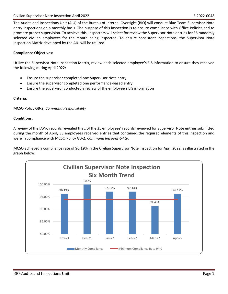The Audits and Inspections Unit (AIU) of the Bureau of Internal Oversight (BIO) will conduct Blue Team Supervisor Note entry inspections on a monthly basis. The purpose of this inspection is to ensure compliance with Office Policies and to promote proper supervision. To achieve this, inspectors will select for review the Supervisor Note entries for 35 randomly selected civilian employees for the month being inspected. To ensure consistent inspections, the Supervisor Note Inspection Matrix developed by the AIU will be utilized.

### **Compliance Objectives:**

Utilize the Supervisor Note Inspection Matrix, review each selected employee's EIS information to ensure they received the following during April 2022:

- Ensure the supervisor completed one Supervisor Note entry
- Ensure the supervisor completed one performance-based entry
- Ensure the supervisor conducted a review of the employee's EIS information

### **Criteria:**

MCSO Policy GB-2, *Command Responsibility*

### **Conditions:**

A review of the IAPro records revealed that, of the 35 employees' records reviewed for Supervisor Note entries submitted during the month of April, 33 employees received entries that contained the required elements of this inspection and were in compliance with MCSO Policy GB-2, *Command Responsibility*.

MCSO achieved a compliance rate of **96.19%** in the Civilian Supervisor Note inspection for April 2022, as illustrated in the graph below:

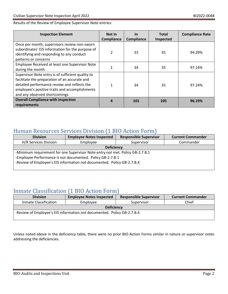Results of the Review of Employee Supervisor Note entries:

| <b>Inspection Element</b>                                                                                                                                                                                                             | Not In<br>Compliance | <u>In</u><br>Compliance | <b>Total</b><br>Inspected | <b>Compliance Rate</b> |
|---------------------------------------------------------------------------------------------------------------------------------------------------------------------------------------------------------------------------------------|----------------------|-------------------------|---------------------------|------------------------|
| Once per month, supervisors review non-sworn<br>subordinates' EIS information for the purpose of<br>identifying and responding to any conduct<br>patterns or concerns                                                                 | $\mathfrak{p}$       | 33                      | 35                        | 94.29%                 |
| Employee Received at least one Supervisor Note<br>during the month                                                                                                                                                                    |                      | 34                      | 35                        | 97.14%                 |
| Supervisor Note entry is of sufficient quality to<br>facilitate the preparation of an accurate and<br>detailed performance review and reflects the<br>employee's positive traits and accomplishments<br>and any observed shortcomings | $\mathbf{1}$         | 34                      | 35                        | 97.14%                 |
| <b>Overall Compliance with inspection</b><br>requirements                                                                                                                                                                             | 4                    | 101                     | 105                       | 96.19%                 |

### Human Resources Services Division (1 BIO Action Form)

| <b>Division</b>                                                                                                                                                                                                        | <b>Employee Notes Inspected</b> | <b>Responsible Supervisor</b> | <b>Current Commander</b> |  |  |
|------------------------------------------------------------------------------------------------------------------------------------------------------------------------------------------------------------------------|---------------------------------|-------------------------------|--------------------------|--|--|
| H/R Services Division                                                                                                                                                                                                  | Employee                        | Supervisor                    | Commander                |  |  |
| <b>Deficiency</b>                                                                                                                                                                                                      |                                 |                               |                          |  |  |
| -Minimum requirement for one Supervisor Note entry not met. Policy GB-2.7.B.1<br>-Employee Performance is not documented. Policy GB-2.7.B.1<br>-Review of Employee's EIS information not documented. Policy GB-2.7.B.4 |                                 |                               |                          |  |  |

## Inmate Classification (1 BIO Action Form)

| <b>Division</b>                                                         | <b>Employee Notes Inspected</b> | <b>Responsible Supervisor</b> | <b>Current Commander</b> |  |  |
|-------------------------------------------------------------------------|---------------------------------|-------------------------------|--------------------------|--|--|
| Inmate Classification                                                   | Employee                        | Supervisor                    | Chief                    |  |  |
| <b>Deficiency</b>                                                       |                                 |                               |                          |  |  |
| -Review of Employee's EIS information not documented. Policy GB-2.7.B.4 |                                 |                               |                          |  |  |

Unless noted above in the deficiency table, there were no prior BIO Action Forms similar in nature or supervisor notes addressing the deficiencies.